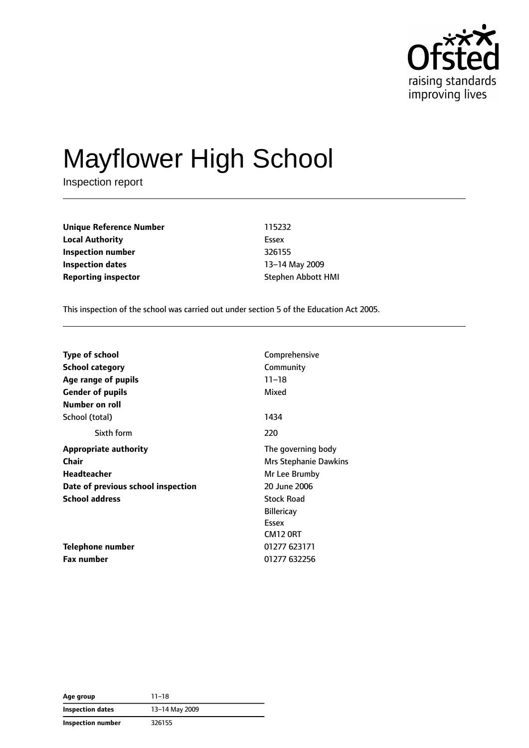

# Mayflower High School

Inspection report

**Unique Reference Number** 115232 **Local Authority** Essex **Inspection number** 326155 **Inspection dates** 13–14 May 2009 **Reporting inspector Stephen Abbott HMI** 

This inspection of the school was carried out under section 5 of the Education Act 2005.

| <b>Type of school</b>              | Comprehensive         |
|------------------------------------|-----------------------|
| School category                    | Community             |
| Age range of pupils                | $11 - 18$             |
| <b>Gender of pupils</b>            | Mixed                 |
| Number on roll                     |                       |
| School (total)                     | 1434                  |
| Sixth form                         | 220                   |
| <b>Appropriate authority</b>       | The governing body    |
| Chair                              | Mrs Stephanie Dawkins |
| Headteacher                        | Mr Lee Brumby         |
| Date of previous school inspection | 20 June 2006          |
| <b>School address</b>              | <b>Stock Road</b>     |
|                                    | <b>Billericay</b>     |
|                                    | Essex                 |
|                                    | CM12 ORT              |
| <b>Telephone number</b>            | 01277 623171          |
| Fax number                         | 01277 632256          |

**Age group** 11–18 **Inspection dates** 13–14 May 2009 **Inspection number** 326155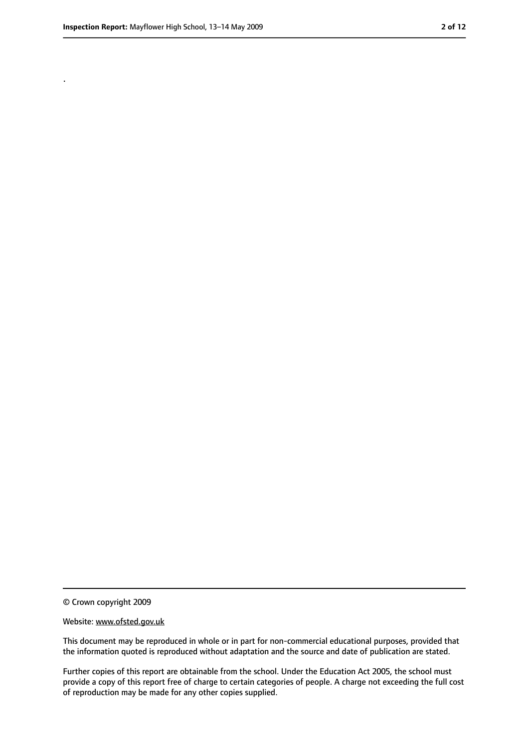.

<sup>©</sup> Crown copyright 2009

Website: www.ofsted.gov.uk

This document may be reproduced in whole or in part for non-commercial educational purposes, provided that the information quoted is reproduced without adaptation and the source and date of publication are stated.

Further copies of this report are obtainable from the school. Under the Education Act 2005, the school must provide a copy of this report free of charge to certain categories of people. A charge not exceeding the full cost of reproduction may be made for any other copies supplied.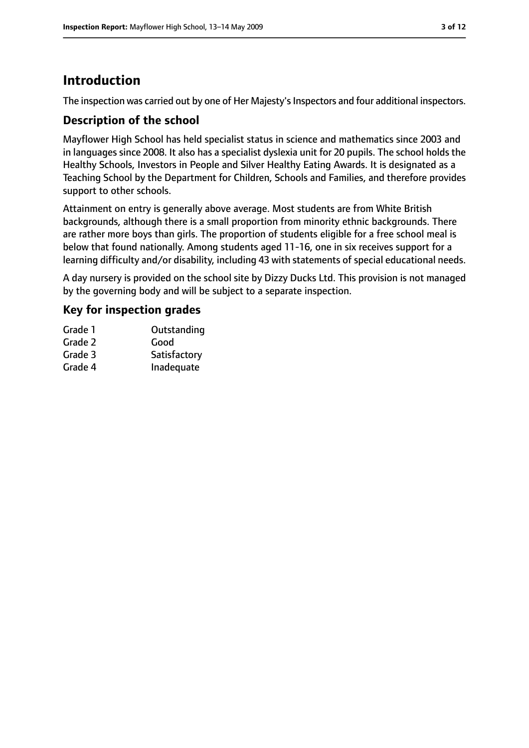### **Introduction**

The inspection was carried out by one of Her Majesty's Inspectors and four additional inspectors.

#### **Description of the school**

Mayflower High School has held specialist status in science and mathematics since 2003 and in languages since 2008. It also has a specialist dyslexia unit for 20 pupils. The school holds the Healthy Schools, Investors in People and Silver Healthy Eating Awards. It is designated as a Teaching School by the Department for Children, Schools and Families, and therefore provides support to other schools.

Attainment on entry is generally above average. Most students are from White British backgrounds, although there is a small proportion from minority ethnic backgrounds. There are rather more boys than girls. The proportion of students eligible for a free school meal is below that found nationally. Among students aged 11-16, one in six receives support for a learning difficulty and/or disability, including 43 with statements of special educational needs.

A day nursery is provided on the school site by Dizzy Ducks Ltd. This provision is not managed by the governing body and will be subject to a separate inspection.

#### **Key for inspection grades**

| Grade 1 | Outstanding  |
|---------|--------------|
| Grade 2 | Good         |
| Grade 3 | Satisfactory |
| Grade 4 | Inadequate   |
|         |              |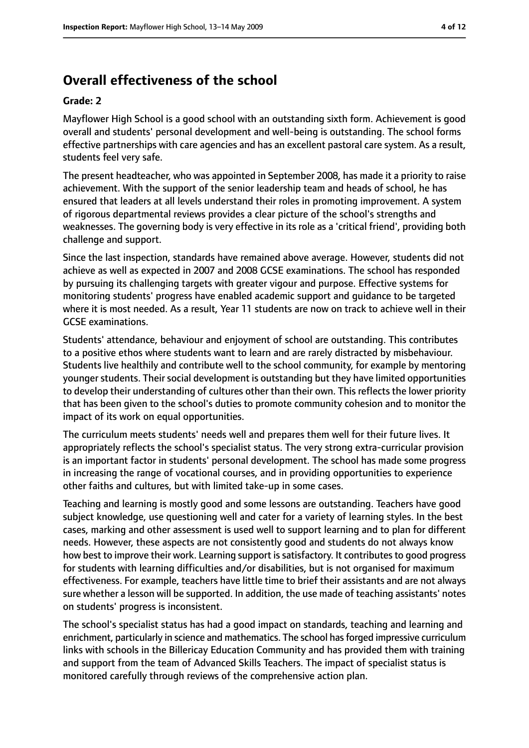### **Overall effectiveness of the school**

#### **Grade: 2**

Mayflower High School is a good school with an outstanding sixth form. Achievement is good overall and students' personal development and well-being is outstanding. The school forms effective partnerships with care agencies and has an excellent pastoral care system. As a result, students feel very safe.

The present headteacher, who was appointed in September 2008, has made it a priority to raise achievement. With the support of the senior leadership team and heads of school, he has ensured that leaders at all levels understand their roles in promoting improvement. A system of rigorous departmental reviews provides a clear picture of the school's strengths and weaknesses. The governing body is very effective in its role as a 'critical friend', providing both challenge and support.

Since the last inspection, standards have remained above average. However, students did not achieve as well as expected in 2007 and 2008 GCSE examinations. The school has responded by pursuing its challenging targets with greater vigour and purpose. Effective systems for monitoring students' progress have enabled academic support and guidance to be targeted where it is most needed. As a result, Year 11 students are now on track to achieve well in their GCSE examinations.

Students' attendance, behaviour and enjoyment of school are outstanding. This contributes to a positive ethos where students want to learn and are rarely distracted by misbehaviour. Students live healthily and contribute well to the school community, for example by mentoring younger students. Their social development is outstanding but they have limited opportunities to develop their understanding of cultures other than their own. This reflects the lower priority that has been given to the school's duties to promote community cohesion and to monitor the impact of its work on equal opportunities.

The curriculum meets students' needs well and prepares them well for their future lives. It appropriately reflects the school's specialist status. The very strong extra-curricular provision is an important factor in students' personal development. The school has made some progress in increasing the range of vocational courses, and in providing opportunities to experience other faiths and cultures, but with limited take-up in some cases.

Teaching and learning is mostly good and some lessons are outstanding. Teachers have good subject knowledge, use questioning well and cater for a variety of learning styles. In the best cases, marking and other assessment is used well to support learning and to plan for different needs. However, these aspects are not consistently good and students do not always know how best to improve their work. Learning support is satisfactory. It contributes to good progress for students with learning difficulties and/or disabilities, but is not organised for maximum effectiveness. For example, teachers have little time to brief their assistants and are not always sure whether a lesson will be supported. In addition, the use made of teaching assistants' notes on students' progress is inconsistent.

The school's specialist status has had a good impact on standards, teaching and learning and enrichment, particularly in science and mathematics. The school hasforged impressive curriculum links with schools in the Billericay Education Community and has provided them with training and support from the team of Advanced Skills Teachers. The impact of specialist status is monitored carefully through reviews of the comprehensive action plan.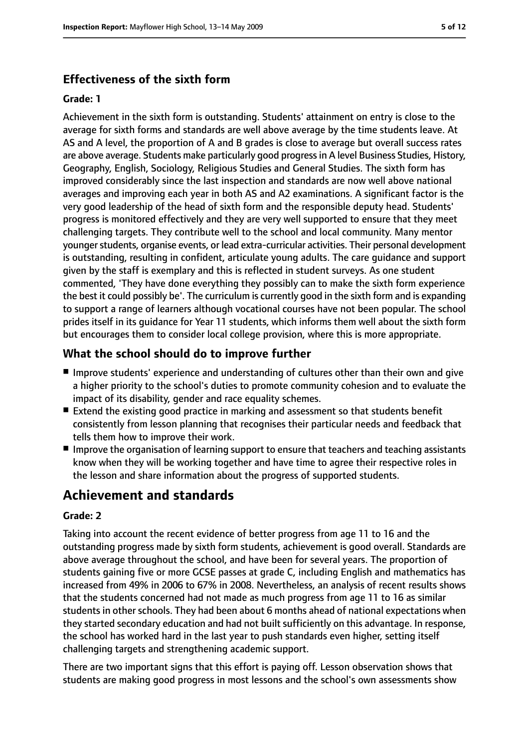### **Effectiveness of the sixth form**

#### **Grade: 1**

Achievement in the sixth form is outstanding. Students' attainment on entry is close to the average for sixth forms and standards are well above average by the time students leave. At AS and A level, the proportion of A and B grades is close to average but overall success rates are above average. Students make particularly good progressin A level Business Studies, History, Geography, English, Sociology, Religious Studies and General Studies. The sixth form has improved considerably since the last inspection and standards are now well above national averages and improving each year in both AS and A2 examinations. A significant factor is the very good leadership of the head of sixth form and the responsible deputy head. Students' progress is monitored effectively and they are very well supported to ensure that they meet challenging targets. They contribute well to the school and local community. Many mentor younger students, organise events, or lead extra-curricular activities. Their personal development is outstanding, resulting in confident, articulate young adults. The care guidance and support given by the staff is exemplary and this is reflected in student surveys. As one student commented, 'They have done everything they possibly can to make the sixth form experience the best it could possibly be'. The curriculum is currently good in the sixth form and is expanding to support a range of learners although vocational courses have not been popular. The school prides itself in its guidance for Year 11 students, which informs them well about the sixth form but encourages them to consider local college provision, where this is more appropriate.

### **What the school should do to improve further**

- Improve students' experience and understanding of cultures other than their own and give a higher priority to the school's duties to promote community cohesion and to evaluate the impact of its disability, gender and race equality schemes.
- Extend the existing good practice in marking and assessment so that students benefit consistently from lesson planning that recognises their particular needs and feedback that tells them how to improve their work.
- Improve the organisation of learning support to ensure that teachers and teaching assistants know when they will be working together and have time to agree their respective roles in the lesson and share information about the progress of supported students.

### **Achievement and standards**

#### **Grade: 2**

Taking into account the recent evidence of better progress from age 11 to 16 and the outstanding progress made by sixth form students, achievement is good overall. Standards are above average throughout the school, and have been for several years. The proportion of students gaining five or more GCSE passes at grade C, including English and mathematics has increased from 49% in 2006 to 67% in 2008. Nevertheless, an analysis of recent results shows that the students concerned had not made as much progress from age 11 to 16 as similar students in other schools. They had been about 6 months ahead of national expectations when they started secondary education and had not built sufficiently on this advantage. In response, the school has worked hard in the last year to push standards even higher, setting itself challenging targets and strengthening academic support.

There are two important signs that this effort is paying off. Lesson observation shows that students are making good progress in most lessons and the school's own assessments show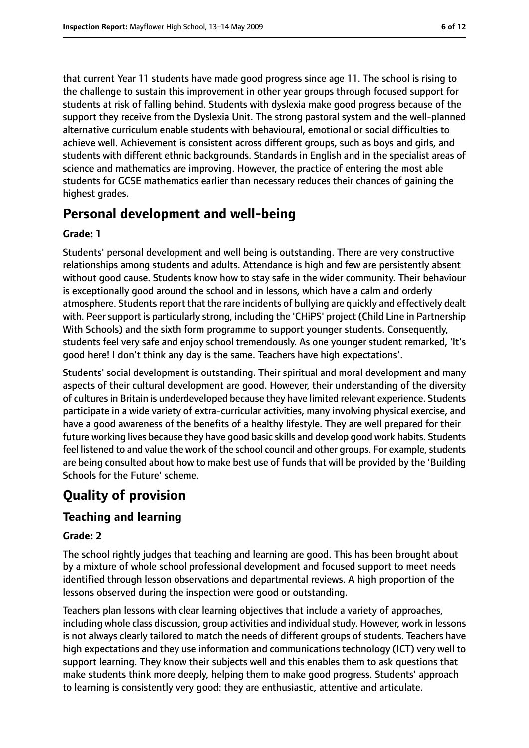that current Year 11 students have made good progress since age 11. The school is rising to the challenge to sustain this improvement in other year groups through focused support for students at risk of falling behind. Students with dyslexia make good progress because of the support they receive from the Dyslexia Unit. The strong pastoral system and the well-planned alternative curriculum enable students with behavioural, emotional or social difficulties to achieve well. Achievement is consistent across different groups, such as boys and girls, and students with different ethnic backgrounds. Standards in English and in the specialist areas of science and mathematics are improving. However, the practice of entering the most able students for GCSE mathematics earlier than necessary reduces their chances of gaining the highest grades.

### **Personal development and well-being**

#### **Grade: 1**

Students' personal development and well being is outstanding. There are very constructive relationships among students and adults. Attendance is high and few are persistently absent without good cause. Students know how to stay safe in the wider community. Their behaviour is exceptionally good around the school and in lessons, which have a calm and orderly atmosphere. Students report that the rare incidents of bullying are quickly and effectively dealt with. Peer support is particularly strong, including the 'CHiPS' project (Child Line in Partnership With Schools) and the sixth form programme to support younger students. Consequently, students feel very safe and enjoy school tremendously. As one younger student remarked, 'It's good here! I don't think any day is the same. Teachers have high expectations'.

Students' social development is outstanding. Their spiritual and moral development and many aspects of their cultural development are good. However, their understanding of the diversity of cultures in Britain is underdeveloped because they have limited relevant experience. Students participate in a wide variety of extra-curricular activities, many involving physical exercise, and have a good awareness of the benefits of a healthy lifestyle. They are well prepared for their future working lives because they have good basic skills and develop good work habits. Students feel listened to and value the work of the school council and other groups. For example, students are being consulted about how to make best use of funds that will be provided by the 'Building Schools for the Future' scheme.

### **Quality of provision**

### **Teaching and learning**

#### **Grade: 2**

The school rightly judges that teaching and learning are good. This has been brought about by a mixture of whole school professional development and focused support to meet needs identified through lesson observations and departmental reviews. A high proportion of the lessons observed during the inspection were good or outstanding.

Teachers plan lessons with clear learning objectives that include a variety of approaches, including whole class discussion, group activities and individual study. However, work in lessons is not always clearly tailored to match the needs of different groups of students. Teachers have high expectations and they use information and communications technology (ICT) very well to support learning. They know their subjects well and this enables them to ask questions that make students think more deeply, helping them to make good progress. Students' approach to learning is consistently very good: they are enthusiastic, attentive and articulate.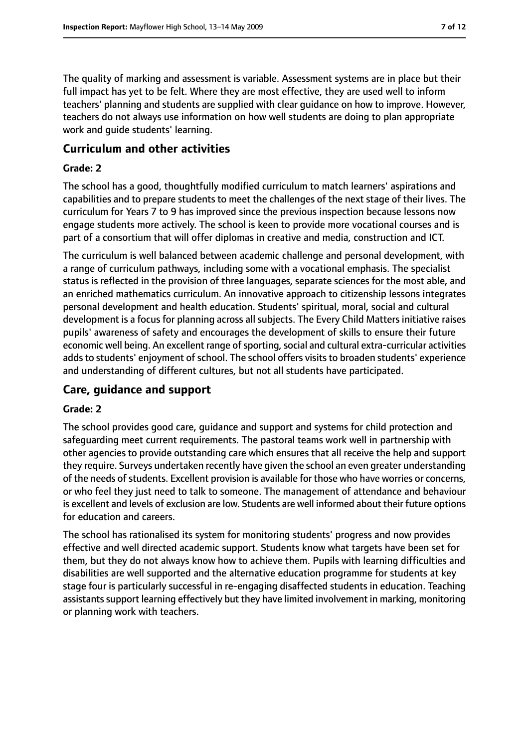The quality of marking and assessment is variable. Assessment systems are in place but their full impact has yet to be felt. Where they are most effective, they are used well to inform teachers' planning and students are supplied with clear guidance on how to improve. However, teachers do not always use information on how well students are doing to plan appropriate work and guide students' learning.

#### **Curriculum and other activities**

#### **Grade: 2**

The school has a good, thoughtfully modified curriculum to match learners' aspirations and capabilities and to prepare students to meet the challenges of the next stage of their lives. The curriculum for Years 7 to 9 has improved since the previous inspection because lessons now engage students more actively. The school is keen to provide more vocational courses and is part of a consortium that will offer diplomas in creative and media, construction and ICT.

The curriculum is well balanced between academic challenge and personal development, with a range of curriculum pathways, including some with a vocational emphasis. The specialist status is reflected in the provision of three languages, separate sciences for the most able, and an enriched mathematics curriculum. An innovative approach to citizenship lessons integrates personal development and health education. Students' spiritual, moral, social and cultural development is a focus for planning across all subjects. The Every Child Matters initiative raises pupils' awareness of safety and encourages the development of skills to ensure their future economic well being. An excellent range of sporting, social and cultural extra-curricular activities adds to students' enjoyment of school. The school offers visits to broaden students' experience and understanding of different cultures, but not all students have participated.

#### **Care, guidance and support**

#### **Grade: 2**

The school provides good care, guidance and support and systems for child protection and safeguarding meet current requirements. The pastoral teams work well in partnership with other agencies to provide outstanding care which ensures that all receive the help and support they require. Surveys undertaken recently have given the school an even greater understanding of the needs of students. Excellent provision is available for those who have worries or concerns, or who feel they just need to talk to someone. The management of attendance and behaviour is excellent and levels of exclusion are low. Students are well informed about their future options for education and careers.

The school has rationalised its system for monitoring students' progress and now provides effective and well directed academic support. Students know what targets have been set for them, but they do not always know how to achieve them. Pupils with learning difficulties and disabilities are well supported and the alternative education programme for students at key stage four is particularly successful in re-engaging disaffected students in education. Teaching assistants support learning effectively but they have limited involvement in marking, monitoring or planning work with teachers.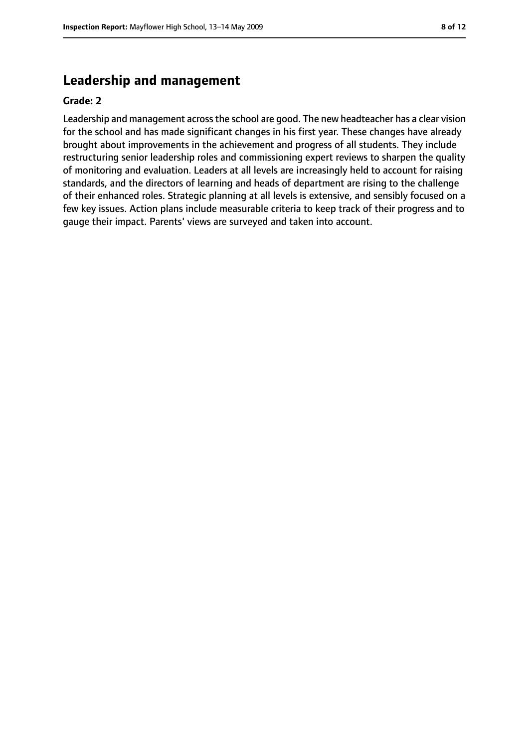### **Leadership and management**

#### **Grade: 2**

Leadership and management acrossthe school are good. The new headteacher has a clear vision for the school and has made significant changes in his first year. These changes have already brought about improvements in the achievement and progress of all students. They include restructuring senior leadership roles and commissioning expert reviews to sharpen the quality of monitoring and evaluation. Leaders at all levels are increasingly held to account for raising standards, and the directors of learning and heads of department are rising to the challenge of their enhanced roles. Strategic planning at all levels is extensive, and sensibly focused on a few key issues. Action plans include measurable criteria to keep track of their progress and to gauge their impact. Parents' views are surveyed and taken into account.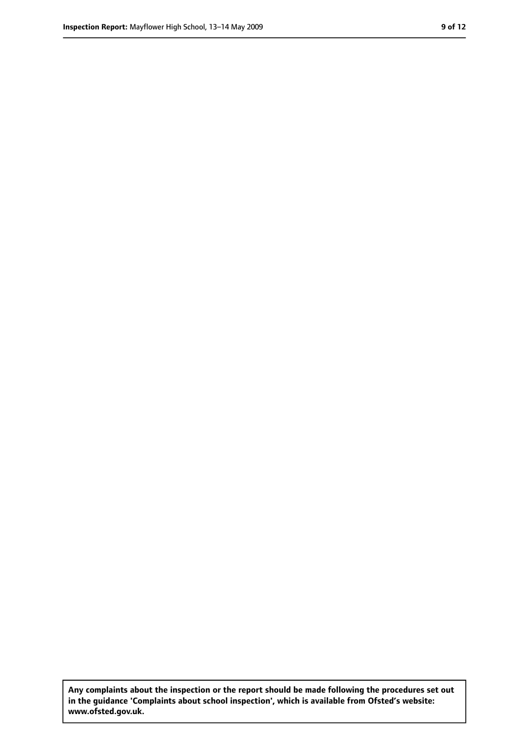**Any complaints about the inspection or the report should be made following the procedures set out in the guidance 'Complaints about school inspection', which is available from Ofsted's website: www.ofsted.gov.uk.**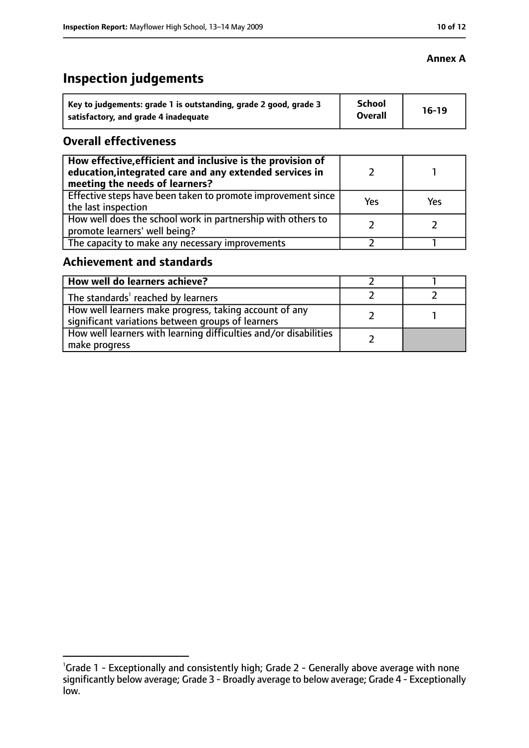## **Inspection judgements**

| Key to judgements: grade 1 is outstanding, grade 2 good, grade 3 | School         | $16-19$ |
|------------------------------------------------------------------|----------------|---------|
| satisfactory, and grade 4 inadequate                             | <b>Overall</b> |         |

#### **Overall effectiveness**

| How effective, efficient and inclusive is the provision of<br>education, integrated care and any extended services in<br>meeting the needs of learners? |     |     |
|---------------------------------------------------------------------------------------------------------------------------------------------------------|-----|-----|
| Effective steps have been taken to promote improvement since<br>the last inspection                                                                     | Yes | Yes |
| How well does the school work in partnership with others to<br>promote learners' well being?                                                            |     |     |
| The capacity to make any necessary improvements                                                                                                         |     |     |

### **Achievement and standards**

| How well do learners achieve?                                                                               |  |
|-------------------------------------------------------------------------------------------------------------|--|
| The standards <sup>1</sup> reached by learners                                                              |  |
| How well learners make progress, taking account of any<br>significant variations between groups of learners |  |
| How well learners with learning difficulties and/or disabilities<br>make progress                           |  |

#### **Annex A**

<sup>&</sup>lt;sup>1</sup>Grade 1 - Exceptionally and consistently high; Grade 2 - Generally above average with none significantly below average; Grade 3 - Broadly average to below average; Grade 4 - Exceptionally low.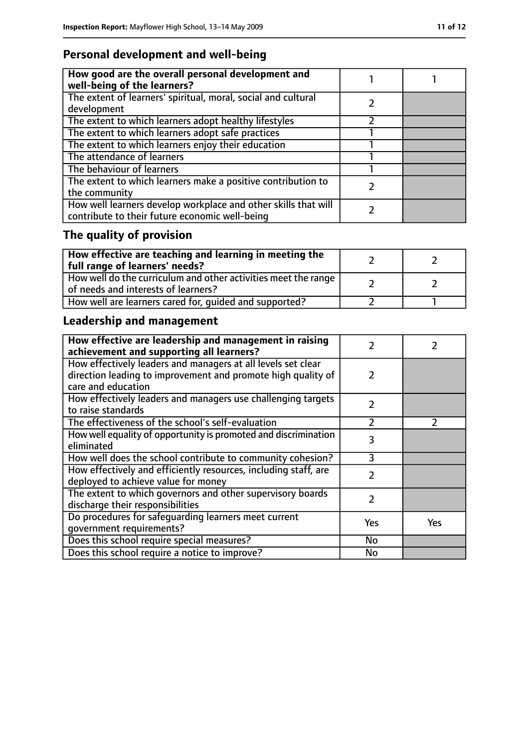### **Personal development and well-being**

| How good are the overall personal development and<br>well-being of the learners?                                 |  |
|------------------------------------------------------------------------------------------------------------------|--|
| The extent of learners' spiritual, moral, social and cultural<br>development                                     |  |
| The extent to which learners adopt healthy lifestyles                                                            |  |
| The extent to which learners adopt safe practices                                                                |  |
| The extent to which learners enjoy their education                                                               |  |
| The attendance of learners                                                                                       |  |
| The behaviour of learners                                                                                        |  |
| The extent to which learners make a positive contribution to<br>the community                                    |  |
| How well learners develop workplace and other skills that will<br>contribute to their future economic well-being |  |

## **The quality of provision**

| How effective are teaching and learning in meeting the<br>full range of learners' needs?                |  |
|---------------------------------------------------------------------------------------------------------|--|
| How well do the curriculum and other activities meet the range  <br>of needs and interests of learners? |  |
| How well are learners cared for, quided and supported?                                                  |  |

### **Leadership and management**

| How effective are leadership and management in raising<br>achievement and supporting all learners?                           |               |               |
|------------------------------------------------------------------------------------------------------------------------------|---------------|---------------|
| How effectively leaders and managers at all levels set clear<br>direction leading to improvement and promote high quality of | 2             |               |
| care and education                                                                                                           |               |               |
| How effectively leaders and managers use challenging targets<br>to raise standards                                           | $\mathcal{P}$ |               |
| The effectiveness of the school's self-evaluation                                                                            | $\mathcal{P}$ | $\mathcal{P}$ |
| How well equality of opportunity is promoted and discrimination<br>eliminated                                                | 3             |               |
| How well does the school contribute to community cohesion?                                                                   | ξ             |               |
| How effectively and efficiently resources, including staff, are<br>deployed to achieve value for money                       | $\mathcal{P}$ |               |
| The extent to which governors and other supervisory boards<br>discharge their responsibilities                               | $\mathcal{P}$ |               |
| Do procedures for safequarding learners meet current<br>qovernment requirements?                                             | Yes           | Yes           |
| Does this school require special measures?                                                                                   | <b>No</b>     |               |
| Does this school require a notice to improve?                                                                                | No            |               |